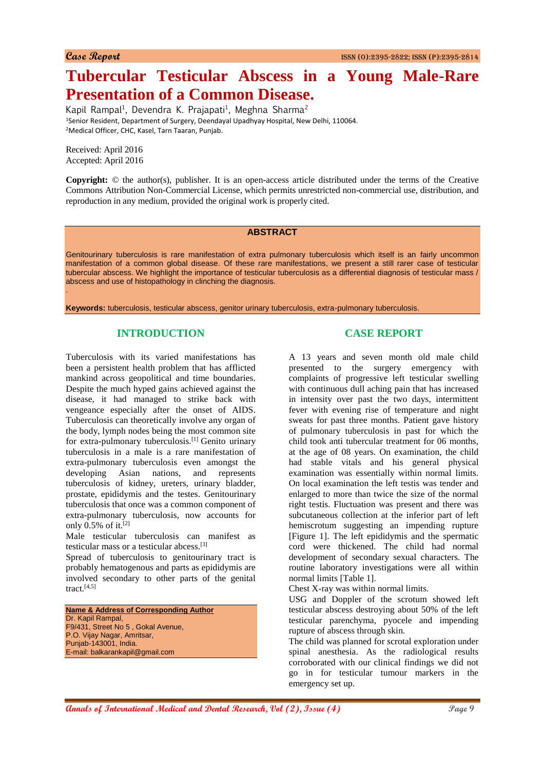# **Tubercular Testicular Abscess in a Young Male-Rare Presentation of a Common Disease.**

Kapil Rampal<sup>1</sup>, Devendra K. Prajapati<sup>1</sup>, Meghna Sharma<sup>2</sup> <sup>1</sup>Senior Resident, Department of Surgery, Deendayal Upadhyay Hospital, New Delhi, 110064. <sup>2</sup>Medical Officer, CHC, Kasel, Tarn Taaran, Punjab.

Received: April 2016 Accepted: April 2016

.

**Copyright:** © the author(s), publisher. It is an open-access article distributed under the terms of the Creative Commons Attribution Non-Commercial License, which permits unrestricted non-commercial use, distribution, and reproduction in any medium, provided the original work is properly cited.

#### **ABSTRACT**

Genitourinary tuberculosis is rare manifestation of extra pulmonary tuberculosis which itself is an fairly uncommon manifestation of a common global disease. Of these rare manifestations, we present a still rarer case of testicular tubercular abscess. We highlight the importance of testicular tuberculosis as a differential diagnosis of testicular mass / abscess and use of histopathology in clinching the diagnosis.

**Keywords:** tuberculosis, testicular abscess, genitor urinary tuberculosis, extra-pulmonary tuberculosis.

# **INTRODUCTION**

Tuberculosis with its varied manifestations has been a persistent health problem that has afflicted mankind across geopolitical and time boundaries. Despite the much hyped gains achieved against the disease, it had managed to strike back with vengeance especially after the onset of AIDS. Tuberculosis can theoretically involve any organ of the body, lymph nodes being the most common site for extra-pulmonary tuberculosis.[1] Genito urinary tuberculosis in a male is a rare manifestation of extra-pulmonary tuberculosis even amongst the developing Asian nations, and represents tuberculosis of kidney, ureters, urinary bladder, prostate, epididymis and the testes. Genitourinary tuberculosis that once was a common component of extra-pulmonary tuberculosis, now accounts for only  $0.5\%$  of it.<sup>[2]</sup>

Male testicular tuberculosis can manifest as testicular mass or a testicular abcess.[3]

Spread of tuberculosis to genitourinary tract is probably hematogenous and parts as epididymis are involved secondary to other parts of the genital  $\text{tract.}^{[4,5]}$ 

**Name & Address of Corresponding Author** Dr. Kapil Rampal, F9/431, Street No 5 , Gokal Avenue, P.O. Vijay Nagar, Amritsar, Punjab-143001, India. E-mail: balkarankapil@gmail.com

# **CASE REPORT**

A 13 years and seven month old male child presented to the surgery emergency with complaints of progressive left testicular swelling with continuous dull aching pain that has increased in intensity over past the two days, intermittent fever with evening rise of temperature and night sweats for past three months. Patient gave history of pulmonary tuberculosis in past for which the child took anti tubercular treatment for 06 months, at the age of 08 years. On examination, the child had stable vitals and his general physical examination was essentially within normal limits. On local examination the left testis was tender and enlarged to more than twice the size of the normal right testis. Fluctuation was present and there was subcutaneous collection at the inferior part of left hemiscrotum suggesting an impending rupture [Figure 1]. The left epididymis and the spermatic cord were thickened. The child had normal development of secondary sexual characters. The routine laboratory investigations were all within normal limits [Table 1].

Chest X-ray was within normal limits.

USG and Doppler of the scrotum showed left testicular abscess destroying about 50% of the left testicular parenchyma, pyocele and impending rupture of abscess through skin.

The child was planned for scrotal exploration under spinal anesthesia. As the radiological results corroborated with our clinical findings we did not go in for testicular tumour markers in the emergency set up.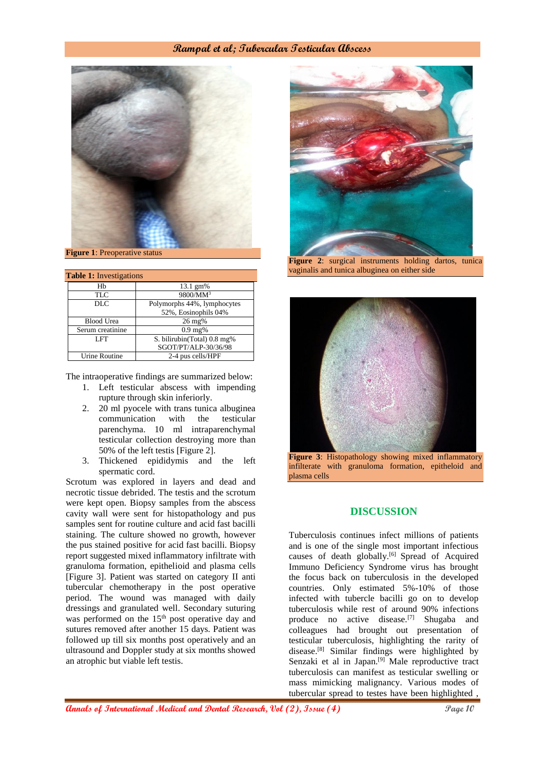### **Rampal et al; Tubercular Testicular Abscess**



**Figure 1**: Preoperative status

| <b>Table 1:</b> Investigations |                             |
|--------------------------------|-----------------------------|
| Hb                             | 13.1 gm%                    |
| TLC                            | 9800/MM <sup>3</sup>        |
| DLC                            | Polymorphs 44%, lymphocytes |
|                                | 52%, Eosinophils 04%        |
| <b>Blood Urea</b>              | $26 \,\mathrm{mg}$ %        |
| Serum creatinine               | $0.9 \text{ mg\%}$          |
| LFT                            | S. bilirubin(Total) 0.8 mg% |
|                                | SGOT/PT/ALP-30/36/98        |
| Urine Routine                  | 2-4 pus cells/HPF           |

The intraoperative findings are summarized below:

- 1. Left testicular abscess with impending rupture through skin inferiorly.
- 2. 20 ml pyocele with trans tunica albuginea communication with the testicular parenchyma. 10 ml intraparenchymal testicular collection destroying more than 50% of the left testis [Figure 2].
- 3. Thickened epididymis and the left spermatic cord.

Scrotum was explored in layers and dead and necrotic tissue debrided. The testis and the scrotum were kept open. Biopsy samples from the abscess cavity wall were sent for histopathology and pus samples sent for routine culture and acid fast bacilli staining. The culture showed no growth, however the pus stained positive for acid fast bacilli. Biopsy report suggested mixed inflammatory infiltrate with granuloma formation, epithelioid and plasma cells [Figure 3]. Patient was started on category II anti tubercular chemotherapy in the post operative period. The wound was managed with daily dressings and granulated well. Secondary suturing was performed on the 15<sup>th</sup> post operative day and sutures removed after another 15 days. Patient was followed up till six months post operatively and an ultrasound and Doppler study at six months showed an atrophic but viable left testis.



**Figure 2**: surgical instruments holding dartos, tunica vaginalis and tunica albuginea on either side



**Figure 3**: Histopathology showing mixed inflammatory infilterate with granuloma formation, epitheloid and plasma cells

# **DISCUSSION**

Tuberculosis continues infect millions of patients and is one of the single most important infectious causes of death globally.<sup>[6]</sup> Spread of Acquired Immuno Deficiency Syndrome virus has brought the focus back on tuberculosis in the developed countries. Only estimated 5%-10% of those infected with tubercle bacilli go on to develop tuberculosis while rest of around 90% infections produce no active disease.[7] Shugaba and colleagues had brought out presentation of testicular tuberculosis, highlighting the rarity of disease.[8] Similar findings were highlighted by Senzaki et al in Japan.[9] Male reproductive tract tuberculosis can manifest as testicular swelling or mass mimicking malignancy. Various modes of tubercular spread to testes have been highlighted ,